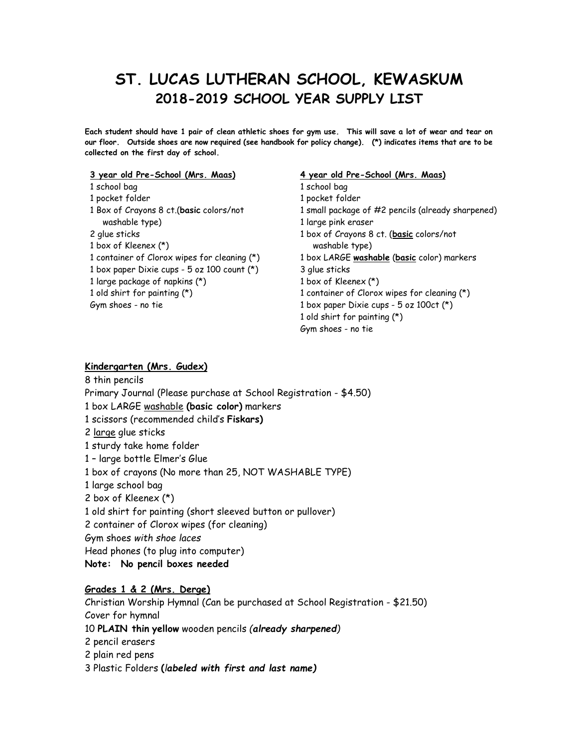# **ST. LUCAS LUTHERAN SCHOOL, KEWASKUM 2018-2019 SCHOOL YEAR SUPPLY LIST**

Each student should have 1 pair of clean athletic shoes for gym use. This will save a lot of wear and tear on our floor. Outside shoes are now required (see handbook for policy change). (\*) indicates items that are to be **collected on the first day of school.**

#### **year old Pre-School (Mrs. Maas)**

 school bag pocket folder Box of Crayons 8 ct.(**basic** colors/not washable type) glue sticks box of Kleenex (\*) container of Clorox wipes for cleaning (\*) box paper Dixie cups - 5 oz100 count (\*) large package of napkins (\*) old shirt for painting (\*) Gym shoes - no tie

#### **year old Pre-School (Mrs. Maas)**

 school bag pocket folder small package of #2 pencils (already sharpened) large pink eraser box of Crayons 8 ct. (**basic** colors/not washable type) box LARGE **washable** (**basic** color) markers glue sticks box of Kleenex (\*) container of Clorox wipes for cleaning (\*) 1 box paper Dixie cups - oz 100ct  $(*)$ old shirt for painting (\*)

Gym shoes - no tie

#### **Kindergarten (Mrs. Gudex)**

 thin pencils Primary Journal (Please purchase at School Registration - \$4.50) box LARGE washable **(basic color)** markers scissors (recommended child's **Fiskars)** large glue sticks sturdy take home folder – large bottle Elmer's Glue box of crayons (No more than 25, NOT WASHABLE TYPE) large school bag box of Kleenex (\*) old shirt for painting (short sleeved button or pullover) container of Clorox wipes (for cleaning) Gym shoes *with shoe laces* Head phones (to plug into computer) **Note: No pencil boxes needed**

#### **Grades 1 & 2 (Mrs.Derge)**

Christian Worship Hymnal (Can be purchased at School Registration - \$21.50) Cover for hymnal **PLAIN thin yellow** wooden pencils *(already sharpened)* pencil erasers plain red pens Plastic Folders **(***labeled with first and last name)*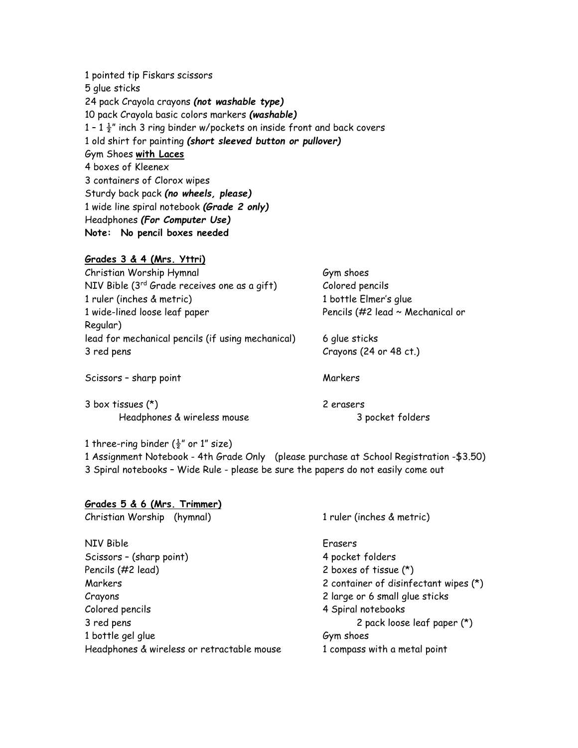pointed tip Fiskars scissors glue sticks pack Crayola crayons *(not washable type)* pack Crayola basic colors markers *(washable)*  $1 - 1 \frac{1}{2}$ " inch 3 ring binder w/pockets on inside front and back covers old shirt for painting *(short sleeved button or pullover)* Gym Shoes **with Laces** boxes of Kleenex containers of Clorox wipes Sturdy back pack *(no wheels, please)* wide line spiral notebook *(Grade 2 only)* Headphones *(For Computer Use)* **Note: No pencil boxes needed**

## **Grades 3 & 4 (Mrs.Yttri)**

| Christian Worship Hymnal                          | Gym shoes                        |
|---------------------------------------------------|----------------------------------|
| NIV Bible (3rd Grade receives one as a gift)      | Colored pencils                  |
| 1 ruler (inches & metric)                         | 1 bottle Elmer's glue            |
| 1 wide-lined loose leaf paper                     | Pencils (#2 lead ~ Mechanical or |
| Regular)                                          |                                  |
| lead for mechanical pencils (if using mechanical) | 6 glue sticks                    |
| 3 red pens                                        | Crayons (24 or 48 ct.)           |
|                                                   |                                  |
| Scissors - sharp point                            | Markers                          |
|                                                   |                                  |

3 box tissues (\*) 2 erasers Headphones & wireless mouse 3 pocket folders

### 1 three-ring binder  $(\frac{1}{2}$ " or 1" size)

1 Assignment Notebook - 4th Grade Only (please purchase at School Registration -\$3.50) 3 Spiral notebooks – Wide Rule - please be sure the papers do not easily come out

| Grades 5 & 6 (Mrs. Trimmer)                |                                       |
|--------------------------------------------|---------------------------------------|
| Christian Worship (hymnal)                 | 1 ruler (inches & metric)             |
| NIV Bible                                  | Erasers                               |
| Scissors - (sharp point)                   | 4 pocket folders                      |
| Pencils (#2 lead)                          | 2 boxes of tissue (*)                 |
| Markers                                    | 2 container of disinfectant wipes (*) |
| Crayons                                    | 2 large or 6 small glue sticks        |
| Colored pencils                            | 4 Spiral notebooks                    |
| 3 red pens                                 | 2 pack loose leaf paper (*)           |
| 1 bottle gel glue                          | Gym shoes                             |
| Headphones & wireless or retractable mouse | 1 compass with a metal point          |